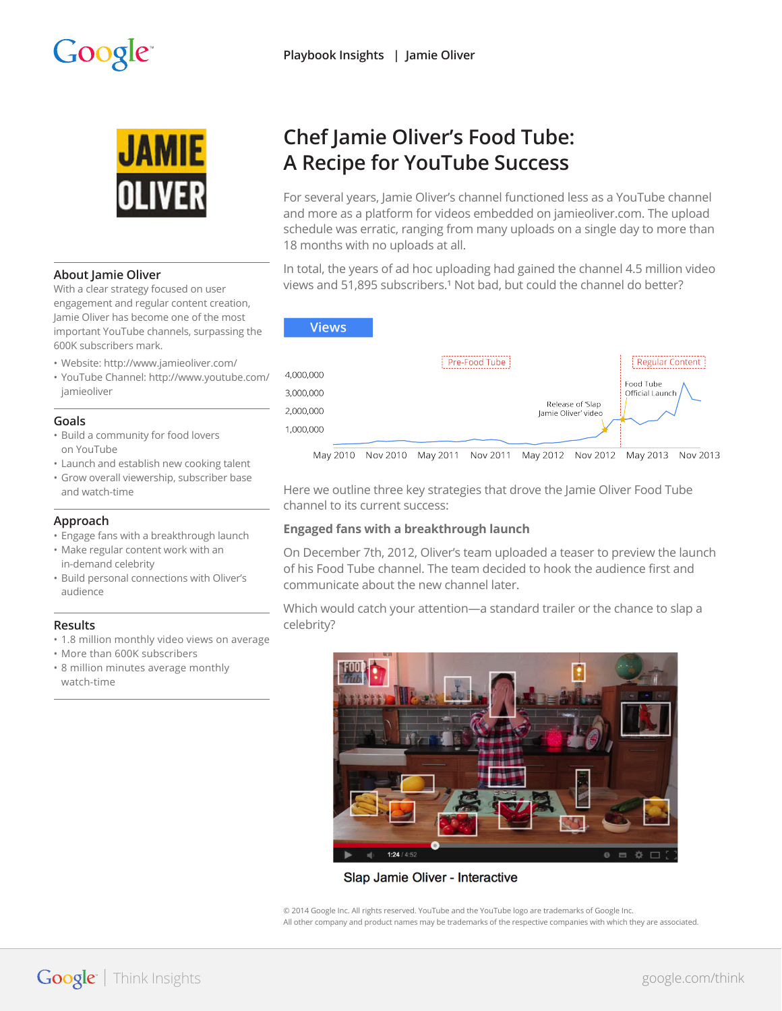# Google<sup>®</sup>



### **About Jamie Oliver**

With a clear strategy focused on user engagement and regular content creation, Jamie Oliver has become one of the most important YouTube channels, surpassing the 600K subscribers mark.

- Website: http://www.jamieoliver.com/
- YouTube Channel: http://www.youtube.com/ jamieoliver

### **Goals**

- Build a community for food lovers on YouTube
- Launch and establish new cooking talent
- Grow overall viewership, subscriber base and watch-time

### **Approach**

- Engage fans with a breakthrough launch
- Make regular content work with an in-demand celebrity
- Build personal connections with Oliver's audience

## **Results**

- 1.8 million monthly video views on average
- More than 600K subscribers
- 8 million minutes average monthly watch-time

# **Chef Jamie Oliver's Food Tube: A Recipe for YouTube Success**

For several years, Jamie Oliver's channel functioned less as a YouTube channel and more as a platform for videos embedded on jamieoliver.com. The upload schedule was erratic, ranging from many uploads on a single day to more than 18 months with no uploads at all.

In total, the years of ad hoc uploading had gained the channel 4.5 million video views and 51,895 subscribers.<sup>1</sup> Not bad, but could the channel do better?



Here we outline three key strategies that drove the Jamie Oliver Food Tube channel to its current success:

## **Engaged fans with a breakthrough launch**

On December 7th, 2012, Oliver's team uploaded a teaser to preview the launch of his Food Tube channel. The team decided to hook the audience first and communicate about the new channel later.

Which would catch your attention—a standard trailer or the chance to slap a celebrity?



Slap Jamie Oliver - Interactive

© 2014 Google Inc. All rights reserved. YouTube and the YouTube logo are trademarks of Google Inc. All other company and product names may be trademarks of the respective companies with which they are associated.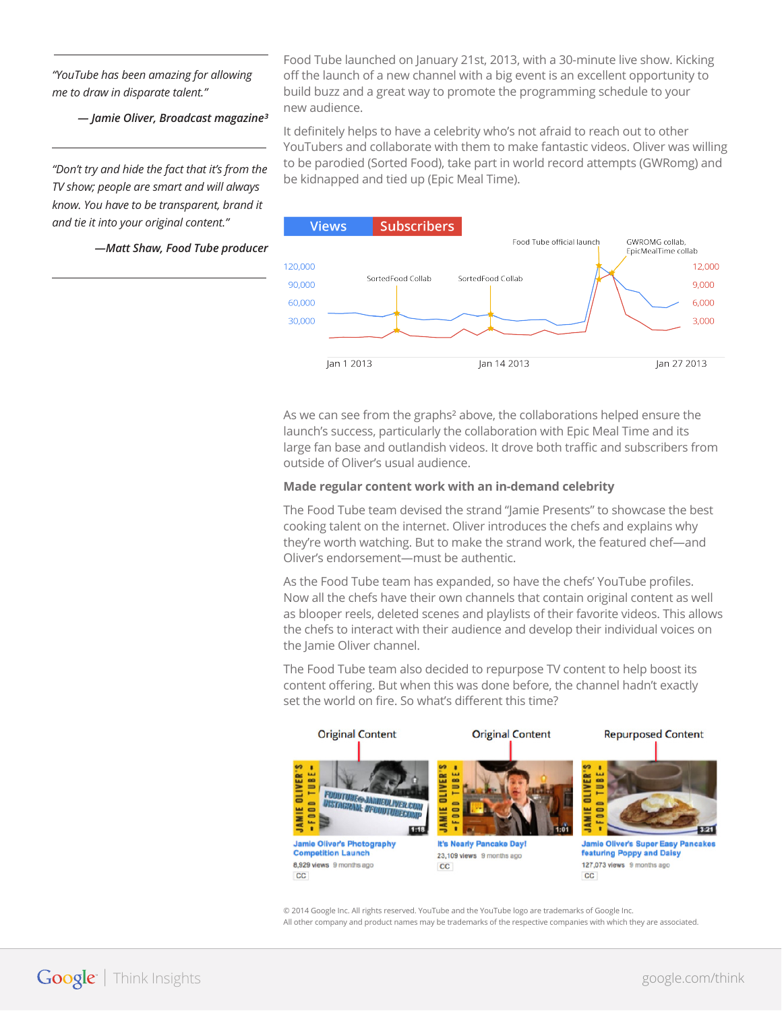*"YouTube has been amazing for allowing me to draw in disparate talent."* 

*— Jamie Oliver, Broadcast magazine³*

*"Don't try and hide the fact that it's from the TV show; people are smart and will always know. You have to be transparent, brand it and tie it into your original content."*

*—Matt Shaw, Food Tube producer*

Food Tube launched on January 21st, 2013, with a 30-minute live show. Kicking off the launch of a new channel with a big event is an excellent opportunity to build buzz and a great way to promote the programming schedule to your new audience.

It definitely helps to have a celebrity who's not afraid to reach out to other YouTubers and collaborate with them to make fantastic videos. Oliver was willing to be parodied (Sorted Food), take part in world record attempts (GWRomg) and be kidnapped and tied up (Epic Meal Time).



As we can see from the graphs<sup>2</sup> above, the collaborations helped ensure the launch's success, particularly the collaboration with Epic Meal Time and its large fan base and outlandish videos. It drove both traffic and subscribers from outside of Oliver's usual audience.

### **Made regular content work with an in-demand celebrity**

The Food Tube team devised the strand "Jamie Presents" to showcase the best cooking talent on the internet. Oliver introduces the chefs and explains why they're worth watching. But to make the strand work, the featured chef—and Oliver's endorsement—must be authentic.

As the Food Tube team has expanded, so have the chefs' YouTube profiles. Now all the chefs have their own channels that contain original content as well as blooper reels, deleted scenes and playlists of their favorite videos. This allows the chefs to interact with their audience and develop their individual voices on the Jamie Oliver channel.

The Food Tube team also decided to repurpose TV content to help boost its content offering. But when this was done before, the channel hadn't exactly set the world on fire. So what's different this time?



© 2014 Google Inc. All rights reserved. YouTube and the YouTube logo are trademarks of Google Inc. All other company and product names may be trademarks of the respective companies with which they are associated.